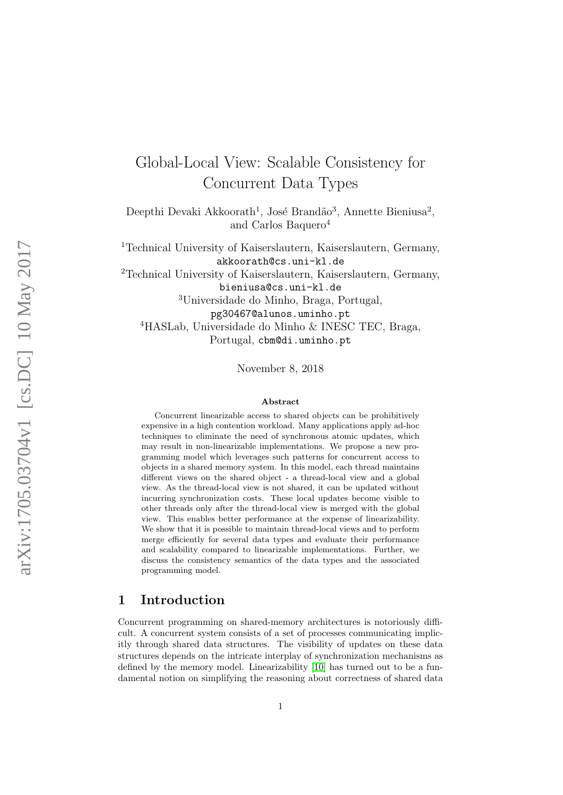# Global-Local View: Scalable Consistency for Concurrent Data Types

Deepthi Devaki Akkoorath<sup>1</sup>, José Brandão<sup>3</sup>, Annette Bieniusa<sup>2</sup>, and Carlos Baquero<sup>4</sup>

<sup>1</sup>Technical University of Kaiserslautern, Kaiserslautern, Germany, akkoorath@cs.uni-kl.de

<sup>2</sup>Technical University of Kaiserslautern, Kaiserslautern, Germany,

bieniusa@cs.uni-kl.de

<sup>3</sup>Universidade do Minho, Braga, Portugal,

pg30467@alunos.uminho.pt

<sup>4</sup>HASLab, Universidade do Minho & INESC TEC, Braga, Portugal, cbm@di.uminho.pt

November 8, 2018

#### Abstract

Concurrent linearizable access to shared objects can be prohibitively expensive in a high contention workload. Many applications apply ad-hoc techniques to eliminate the need of synchronous atomic updates, which may result in non-linearizable implementations. We propose a new programming model which leverages such patterns for concurrent access to objects in a shared memory system. In this model, each thread maintains different views on the shared object - a thread-local view and a global view. As the thread-local view is not shared, it can be updated without incurring synchronization costs. These local updates become visible to other threads only after the thread-local view is merged with the global view. This enables better performance at the expense of linearizability. We show that it is possible to maintain thread-local views and to perform merge efficiently for several data types and evaluate their performance and scalability compared to linearizable implementations. Further, we discuss the consistency semantics of the data types and the associated programming model.

### 1 Introduction

Concurrent programming on shared-memory architectures is notoriously difficult. A concurrent system consists of a set of processes communicating implicitly through shared data structures. The visibility of updates on these data structures depends on the intricate interplay of synchronization mechanisms as defined by the memory model. Linearizability [\[10\]](#page-15-0) has turned out to be a fundamental notion on simplifying the reasoning about correctness of shared data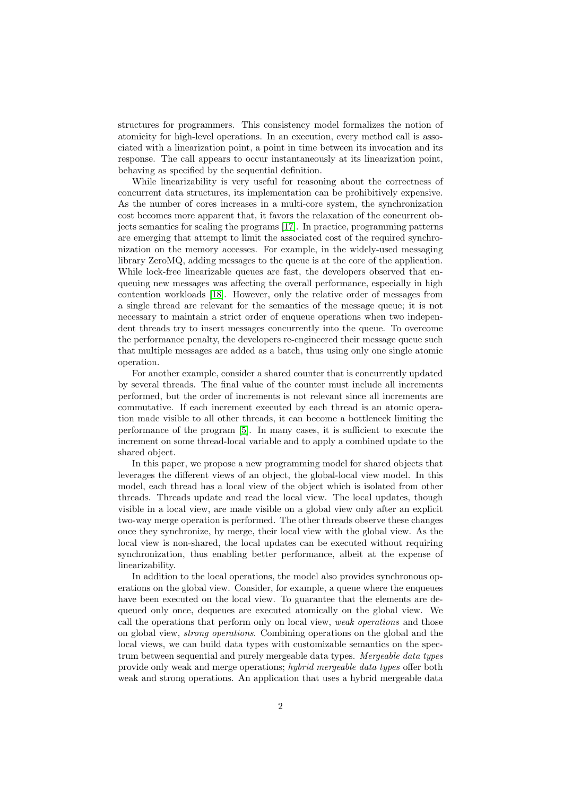structures for programmers. This consistency model formalizes the notion of atomicity for high-level operations. In an execution, every method call is associated with a linearization point, a point in time between its invocation and its response. The call appears to occur instantaneously at its linearization point, behaving as specified by the sequential definition.

While linearizability is very useful for reasoning about the correctness of concurrent data structures, its implementation can be prohibitively expensive. As the number of cores increases in a multi-core system, the synchronization cost becomes more apparent that, it favors the relaxation of the concurrent objects semantics for scaling the programs [\[17\]](#page-15-1). In practice, programming patterns are emerging that attempt to limit the associated cost of the required synchronization on the memory accesses. For example, in the widely-used messaging library ZeroMQ, adding messages to the queue is at the core of the application. While lock-free linearizable queues are fast, the developers observed that enqueuing new messages was affecting the overall performance, especially in high contention workloads [\[18\]](#page-15-2). However, only the relative order of messages from a single thread are relevant for the semantics of the message queue; it is not necessary to maintain a strict order of enqueue operations when two independent threads try to insert messages concurrently into the queue. To overcome the performance penalty, the developers re-engineered their message queue such that multiple messages are added as a batch, thus using only one single atomic operation.

For another example, consider a shared counter that is concurrently updated by several threads. The final value of the counter must include all increments performed, but the order of increments is not relevant since all increments are commutative. If each increment executed by each thread is an atomic operation made visible to all other threads, it can become a bottleneck limiting the performance of the program [\[5\]](#page-14-0). In many cases, it is sufficient to execute the increment on some thread-local variable and to apply a combined update to the shared object.

In this paper, we propose a new programming model for shared objects that leverages the different views of an object, the global-local view model. In this model, each thread has a local view of the object which is isolated from other threads. Threads update and read the local view. The local updates, though visible in a local view, are made visible on a global view only after an explicit two-way merge operation is performed. The other threads observe these changes once they synchronize, by merge, their local view with the global view. As the local view is non-shared, the local updates can be executed without requiring synchronization, thus enabling better performance, albeit at the expense of linearizability.

In addition to the local operations, the model also provides synchronous operations on the global view. Consider, for example, a queue where the enqueues have been executed on the local view. To guarantee that the elements are dequeued only once, dequeues are executed atomically on the global view. We call the operations that perform only on local view, weak operations and those on global view, strong operations. Combining operations on the global and the local views, we can build data types with customizable semantics on the spectrum between sequential and purely mergeable data types. Mergeable data types provide only weak and merge operations; hybrid mergeable data types offer both weak and strong operations. An application that uses a hybrid mergeable data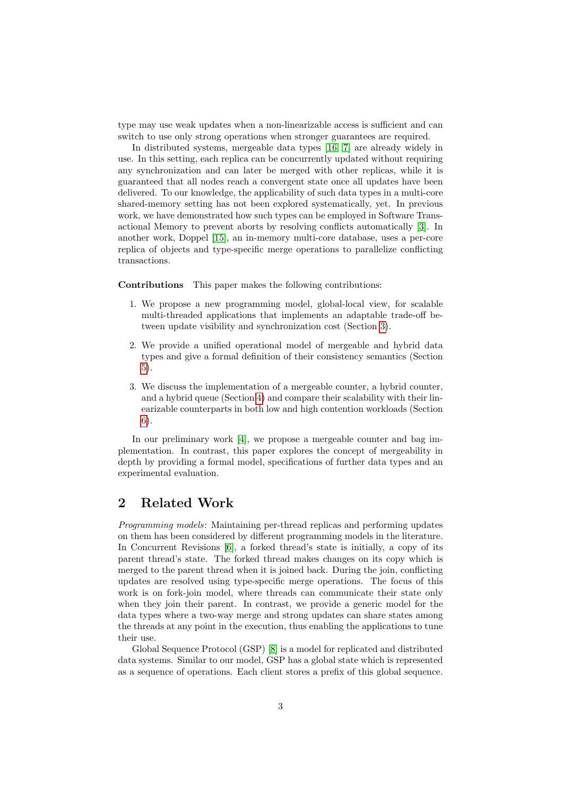type may use weak updates when a non-linearizable access is sufficient and can switch to use only strong operations when stronger guarantees are required.

In distributed systems, mergeable data types [\[16,](#page-15-3) [7\]](#page-14-1) are already widely in use. In this setting, each replica can be concurrently updated without requiring any synchronization and can later be merged with other replicas, while it is guaranteed that all nodes reach a convergent state once all updates have been delivered. To our knowledge, the applicability of such data types in a multi-core shared-memory setting has not been explored systematically, yet. In previous work, we have demonstrated how such types can be employed in Software Transactional Memory to prevent aborts by resolving conflicts automatically [\[3\]](#page-14-2). In another work, Doppel [\[15\]](#page-15-4), an in-memory multi-core database, uses a per-core replica of objects and type-specific merge operations to parallelize conflicting transactions.

Contributions This paper makes the following contributions:

- 1. We propose a new programming model, global-local view, for scalable multi-threaded applications that implements an adaptable trade-off between update visibility and synchronization cost (Section [3\)](#page-4-0).
- 2. We provide a unified operational model of mergeable and hybrid data types and give a formal definition of their consistency semantics (Section [5\)](#page-8-0).
- 3. We discuss the implementation of a mergeable counter, a hybrid counter, and a hybrid queue (Section [4\)](#page-5-0) and compare their scalability with their linearizable counterparts in both low and high contention workloads (Section [6\)](#page-10-0).

In our preliminary work [\[4\]](#page-14-3), we propose a mergeable counter and bag implementation. In contrast, this paper explores the concept of mergeability in depth by providing a formal model, specifications of further data types and an experimental evaluation.

# 2 Related Work

Programming models: Maintaining per-thread replicas and performing updates on them has been considered by different programming models in the literature. In Concurrent Revisions [\[6\]](#page-14-4), a forked thread's state is initially, a copy of its parent thread's state. The forked thread makes changes on its copy which is merged to the parent thread when it is joined back. During the join, conflicting updates are resolved using type-specific merge operations. The focus of this work is on fork-join model, where threads can communicate their state only when they join their parent. In contrast, we provide a generic model for the data types where a two-way merge and strong updates can share states among the threads at any point in the execution, thus enabling the applications to tune their use.

Global Sequence Protocol (GSP) [\[8\]](#page-14-5) is a model for replicated and distributed data systems. Similar to our model, GSP has a global state which is represented as a sequence of operations. Each client stores a prefix of this global sequence.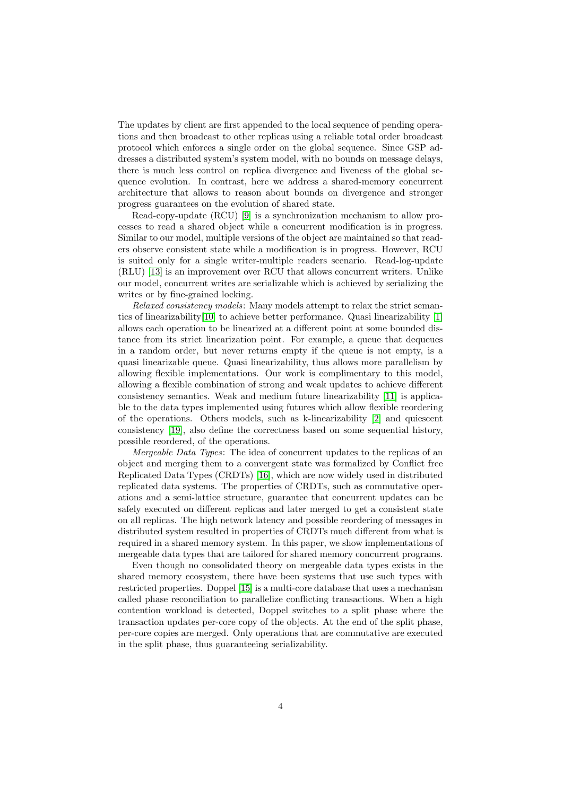The updates by client are first appended to the local sequence of pending operations and then broadcast to other replicas using a reliable total order broadcast protocol which enforces a single order on the global sequence. Since GSP addresses a distributed system's system model, with no bounds on message delays, there is much less control on replica divergence and liveness of the global sequence evolution. In contrast, here we address a shared-memory concurrent architecture that allows to reason about bounds on divergence and stronger progress guarantees on the evolution of shared state.

Read-copy-update (RCU) [\[9\]](#page-15-5) is a synchronization mechanism to allow processes to read a shared object while a concurrent modification is in progress. Similar to our model, multiple versions of the object are maintained so that readers observe consistent state while a modification is in progress. However, RCU is suited only for a single writer-multiple readers scenario. Read-log-update (RLU) [\[13\]](#page-15-6) is an improvement over RCU that allows concurrent writers. Unlike our model, concurrent writes are serializable which is achieved by serializing the writes or by fine-grained locking.

Relaxed consistency models: Many models attempt to relax the strict semantics of linearizability[\[10\]](#page-15-0) to achieve better performance. Quasi linearizability [\[1\]](#page-14-6) allows each operation to be linearized at a different point at some bounded distance from its strict linearization point. For example, a queue that dequeues in a random order, but never returns empty if the queue is not empty, is a quasi linearizable queue. Quasi linearizability, thus allows more parallelism by allowing flexible implementations. Our work is complimentary to this model, allowing a flexible combination of strong and weak updates to achieve different consistency semantics. Weak and medium future linearizability [\[11\]](#page-15-7) is applicable to the data types implemented using futures which allow flexible reordering of the operations. Others models, such as k-linearizability [\[2\]](#page-14-7) and quiescent consistency [\[19\]](#page-15-8), also define the correctness based on some sequential history, possible reordered, of the operations.

Mergeable Data Types: The idea of concurrent updates to the replicas of an object and merging them to a convergent state was formalized by Conflict free Replicated Data Types (CRDTs) [\[16\]](#page-15-3), which are now widely used in distributed replicated data systems. The properties of CRDTs, such as commutative operations and a semi-lattice structure, guarantee that concurrent updates can be safely executed on different replicas and later merged to get a consistent state on all replicas. The high network latency and possible reordering of messages in distributed system resulted in properties of CRDTs much different from what is required in a shared memory system. In this paper, we show implementations of mergeable data types that are tailored for shared memory concurrent programs.

Even though no consolidated theory on mergeable data types exists in the shared memory ecosystem, there have been systems that use such types with restricted properties. Doppel [\[15\]](#page-15-4) is a multi-core database that uses a mechanism called phase reconciliation to parallelize conflicting transactions. When a high contention workload is detected, Doppel switches to a split phase where the transaction updates per-core copy of the objects. At the end of the split phase, per-core copies are merged. Only operations that are commutative are executed in the split phase, thus guaranteeing serializability.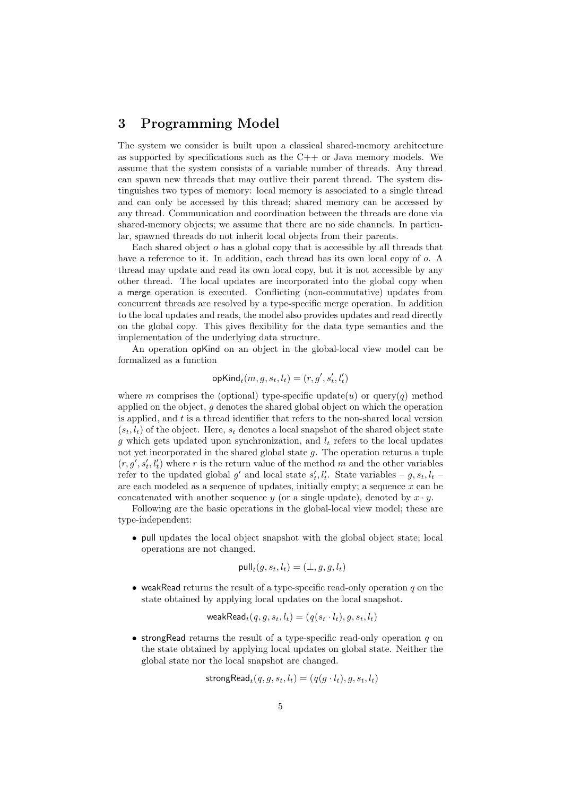## <span id="page-4-0"></span>3 Programming Model

The system we consider is built upon a classical shared-memory architecture as supported by specifications such as the  $C++$  or Java memory models. We assume that the system consists of a variable number of threads. Any thread can spawn new threads that may outlive their parent thread. The system distinguishes two types of memory: local memory is associated to a single thread and can only be accessed by this thread; shared memory can be accessed by any thread. Communication and coordination between the threads are done via shared-memory objects; we assume that there are no side channels. In particular, spawned threads do not inherit local objects from their parents.

Each shared object o has a global copy that is accessible by all threads that have a reference to it. In addition, each thread has its own local copy of o. A thread may update and read its own local copy, but it is not accessible by any other thread. The local updates are incorporated into the global copy when a merge operation is executed. Conflicting (non-commutative) updates from concurrent threads are resolved by a type-specific merge operation. In addition to the local updates and reads, the model also provides updates and read directly on the global copy. This gives flexibility for the data type semantics and the implementation of the underlying data structure.

An operation opKind on an object in the global-local view model can be formalized as a function

$$
\mathsf{opKind}_t(m,g,s_t,l_t) = (r,g',s_t',l_t')
$$

where m comprises the (optional) type-specific update(u) or query(q) method applied on the object,  $q$  denotes the shared global object on which the operation is applied, and  $t$  is a thread identifier that refers to the non-shared local version  $(s_t, l_t)$  of the object. Here,  $s_t$  denotes a local snapshot of the shared object state q which gets updated upon synchronization, and  $l_t$  refers to the local updates not yet incorporated in the shared global state  $g$ . The operation returns a tuple  $(r, g', s'_t, l'_t)$  where r is the return value of the method m and the other variables refer to the updated global  $g'$  and local state  $s'_t, l'_t$ . State variables –  $g, s_t, l_t$  – are each modeled as a sequence of updates, initially empty; a sequence  $x$  can be concatenated with another sequence y (or a single update), denoted by  $x \cdot y$ .

Following are the basic operations in the global-local view model; these are type-independent:

• pull updates the local object snapshot with the global object state; local operations are not changed.

$$
\text{pull}_t(g, s_t, l_t) = (\bot, g, g, l_t)
$$

• weakRead returns the result of a type-specific read-only operation  $q$  on the state obtained by applying local updates on the local snapshot.

$$
\mathsf{weakRead}_{t}(q,g,s_t,l_t) = (q(s_t \cdot l_t), g, s_t, l_t)
$$

• strong Read returns the result of a type-specific read-only operation q on the state obtained by applying local updates on global state. Neither the global state nor the local snapshot are changed.

$$
\mathsf{strongRead}_{t}(q,g,s_t,l_t) = (q(g \cdot l_t), g, s_t, l_t)
$$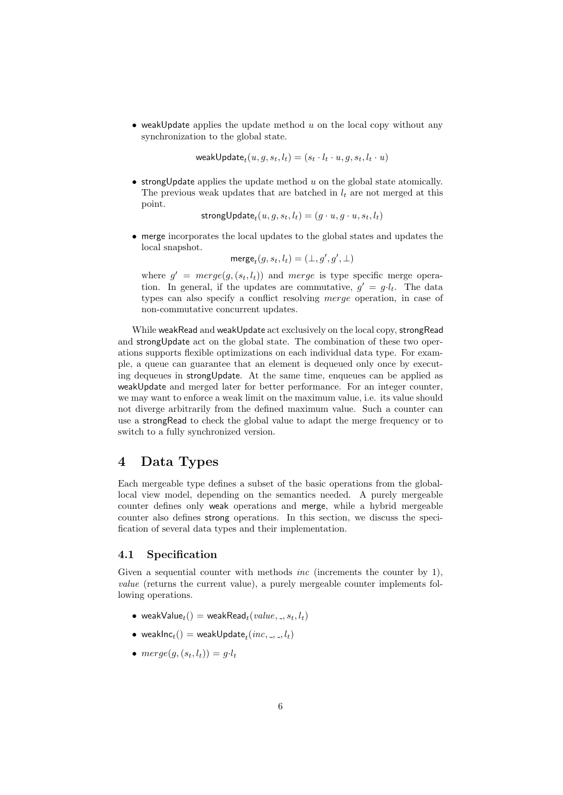• weakUpdate applies the update method  $u$  on the local copy without any synchronization to the global state.

weak $\mathsf{Update}_t(u, g, s_t, l_t) = (s_t \cdot l_t \cdot u, g, s_t, l_t \cdot u)$ 

• strong Update applies the update method  $u$  on the global state atomically. The previous weak updates that are batched in  $l_t$  are not merged at this point.

 $\textsf{strongUpdate}_t(u, g, s_t, l_t) = (g \cdot u, g \cdot u, s_t, l_t)$ 

• merge incorporates the local updates to the global states and updates the local snapshot.

 $\mathsf{merge}_t(g, s_t, l_t) = (\bot, g', g', \bot)$ 

where  $g' = merge(g, (s_t, l_t))$  and merge is type specific merge operation. In general, if the updates are commutative,  $g' = g \cdot l_t$ . The data types can also specify a conflict resolving merge operation, in case of non-commutative concurrent updates.

While weakRead and weakUpdate act exclusively on the local copy, strongRead and strongUpdate act on the global state. The combination of these two operations supports flexible optimizations on each individual data type. For example, a queue can guarantee that an element is dequeued only once by executing dequeues in strongUpdate. At the same time, enqueues can be applied as weakUpdate and merged later for better performance. For an integer counter, we may want to enforce a weak limit on the maximum value, i.e. its value should not diverge arbitrarily from the defined maximum value. Such a counter can use a strongRead to check the global value to adapt the merge frequency or to switch to a fully synchronized version.

# <span id="page-5-0"></span>4 Data Types

Each mergeable type defines a subset of the basic operations from the globallocal view model, depending on the semantics needed. A purely mergeable counter defines only weak operations and merge, while a hybrid mergeable counter also defines strong operations. In this section, we discuss the specification of several data types and their implementation.

#### 4.1 Specification

Given a sequential counter with methods *inc* (increments the counter by 1), value (returns the current value), a purely mergeable counter implements following operations.

- weakValue<sub>t</sub>() = weakRead<sub>t</sub>(value, \_,  $s_t$ ,  $l_t$ )
- $\bullet \;$  weak ${\sf Inc}_t() = {\sf weakUpdate}_t(\mathit{inc},\_,\_,l_t)$
- $merge(g,(s_t, l_t)) = g \cdot l_t$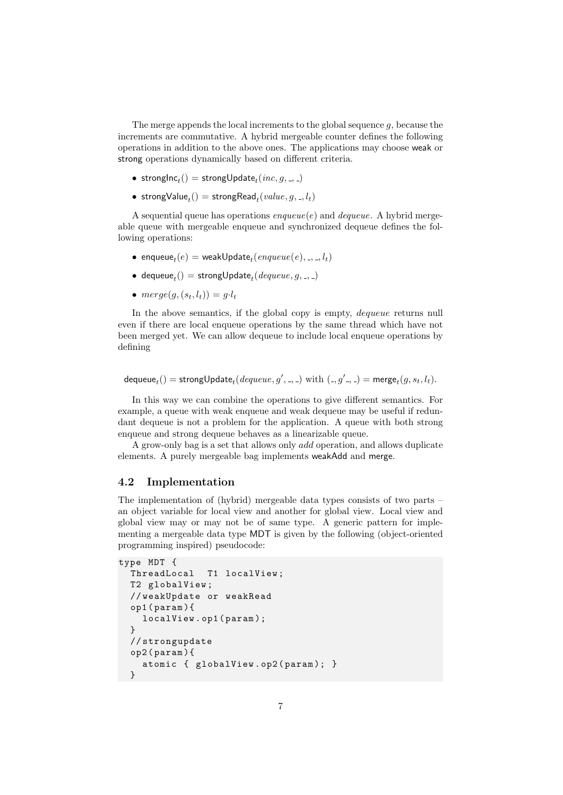The merge appends the local increments to the global sequence  $g$ , because the increments are commutative. A hybrid mergeable counter defines the following operations in addition to the above ones. The applications may choose weak or strong operations dynamically based on different criteria.

- $\bullet \;\operatorname{strongInc}_t() = \operatorname{strongUpdate}_t(\mathit{inc}, g, \_,\_)$
- $\bullet\ \text{strongValue}_t() = \text{strongRead}_t(value, g, \_, l_t)$

A sequential queue has operations  $enqueue(e)$  and  $dequeue$ . A hybrid mergeable queue with mergeable enqueue and synchronized dequeue defines the following operations:

- $\bullet$  enqueu $\mathbf{e}_t(e) = \mathsf{weakUpdate}_t(\mathit{enqueue}(e), \_,\_,l_t)$
- $\bullet\,$  dequeu ${\sf e}_t() = {\sf strongUpdate}_t(\textit{dequeue}, g, \_,\_)$
- merge $(g, (s_t, l_t)) = g \cdot l_t$

In the above semantics, if the global copy is empty, *dequeue* returns null even if there are local enqueue operations by the same thread which have not been merged yet. We can allow dequeue to include local enqueue operations by defining

 $\mathsf{dequeue}_t() = \mathsf{strongUpdate}_t(\mathit{dequeue}, g', \_, \_) \text{ with } (\_, g' \_, \_) = \mathsf{merge}_t(g, s_t, l_t).$ 

In this way we can combine the operations to give different semantics. For example, a queue with weak enqueue and weak dequeue may be useful if redundant dequeue is not a problem for the application. A queue with both strong enqueue and strong dequeue behaves as a linearizable queue.

A grow-only bag is a set that allows only add operation, and allows duplicate elements. A purely mergeable bag implements weakAdd and merge.

#### 4.2 Implementation

The implementation of (hybrid) mergeable data types consists of two parts – an object variable for local view and another for global view. Local view and global view may or may not be of same type. A generic pattern for implementing a mergeable data type MDT is given by the following (object-oriented programming inspired) pseudocode:

```
type MDT {
  ThreadLocal T1 localView ;
  T2 globalView ;
  // weakUpdate or weakRead
  op1 ( param ){
    localView . op1 ( param );
  }
  // strongupdate
  op2 ( param ){
    atomic { globalView . op2 ( param ); }
  }
```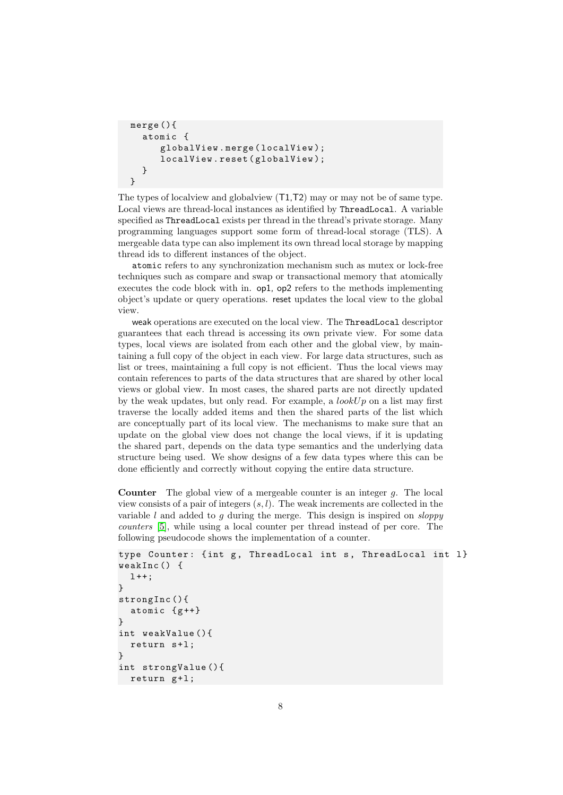```
merge (){
  atomic {
     globalView . merge ( localView );
     localView.reset(globalView);
  }
}
```
The types of localview and globalview (T1,T2) may or may not be of same type. Local views are thread-local instances as identified by ThreadLocal. A variable specified as ThreadLocal exists per thread in the thread's private storage. Many programming languages support some form of thread-local storage (TLS). A mergeable data type can also implement its own thread local storage by mapping thread ids to different instances of the object.

atomic refers to any synchronization mechanism such as mutex or lock-free techniques such as compare and swap or transactional memory that atomically executes the code block with in. op1, op2 refers to the methods implementing object's update or query operations. reset updates the local view to the global view.

weak operations are executed on the local view. The ThreadLocal descriptor guarantees that each thread is accessing its own private view. For some data types, local views are isolated from each other and the global view, by maintaining a full copy of the object in each view. For large data structures, such as list or trees, maintaining a full copy is not efficient. Thus the local views may contain references to parts of the data structures that are shared by other local views or global view. In most cases, the shared parts are not directly updated by the weak updates, but only read. For example, a  $lookUp$  on a list may first traverse the locally added items and then the shared parts of the list which are conceptually part of its local view. The mechanisms to make sure that an update on the global view does not change the local views, if it is updating the shared part, depends on the data type semantics and the underlying data structure being used. We show designs of a few data types where this can be done efficiently and correctly without copying the entire data structure.

**Counter** The global view of a mergeable counter is an integer  $q$ . The local view consists of a pair of integers  $(s, l)$ . The weak increments are collected in the variable  $l$  and added to  $q$  during the merge. This design is inspired on *sloppy* counters [\[5\]](#page-14-0), while using a local counter per thread instead of per core. The following pseudocode shows the implementation of a counter.

```
type Counter: {int g, ThreadLocal int s, ThreadLocal int 1}
weakInc () {
  1 + +;
}
strongInc (){
  atomic {g++}}
int weakValue (){
  return s+1;
}
int strongValue (){
  return g+1;
```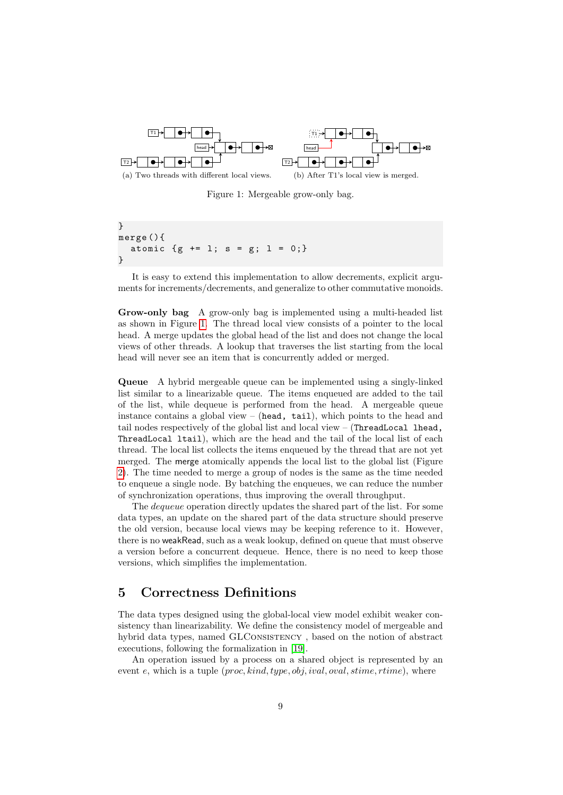<span id="page-8-1"></span>

Figure 1: Mergeable grow-only bag.

```
}
merge (){
  atomic {g \text{ += } 1; s = g; 1 = 0;}}
```
It is easy to extend this implementation to allow decrements, explicit arguments for increments/decrements, and generalize to other commutative monoids.

Grow-only bag A grow-only bag is implemented using a multi-headed list as shown in Figure [1.](#page-8-1) The thread local view consists of a pointer to the local head. A merge updates the global head of the list and does not change the local views of other threads. A lookup that traverses the list starting from the local head will never see an item that is concurrently added or merged.

Queue A hybrid mergeable queue can be implemented using a singly-linked list similar to a linearizable queue. The items enqueued are added to the tail of the list, while dequeue is performed from the head. A mergeable queue instance contains a global view – (head, tail), which points to the head and tail nodes respectively of the global list and local view – (ThreadLocal lhead, ThreadLocal ltail), which are the head and the tail of the local list of each thread. The local list collects the items enqueued by the thread that are not yet merged. The merge atomically appends the local list to the global list (Figure [2\)](#page-9-0). The time needed to merge a group of nodes is the same as the time needed to enqueue a single node. By batching the enqueues, we can reduce the number of synchronization operations, thus improving the overall throughput.

The *dequeue* operation directly updates the shared part of the list. For some data types, an update on the shared part of the data structure should preserve the old version, because local views may be keeping reference to it. However, there is no weakRead, such as a weak lookup, defined on queue that must observe a version before a concurrent dequeue. Hence, there is no need to keep those versions, which simplifies the implementation.

# <span id="page-8-0"></span>5 Correctness Definitions

The data types designed using the global-local view model exhibit weaker consistency than linearizability. We define the consistency model of mergeable and hybrid data types, named GLCONSISTENCY, based on the notion of abstract executions, following the formalization in [\[19\]](#page-15-8).

An operation issued by a process on a shared object is represented by an event e, which is a tuple  $(proc, kind, type, obj, ival, oval, stime, time)$ , where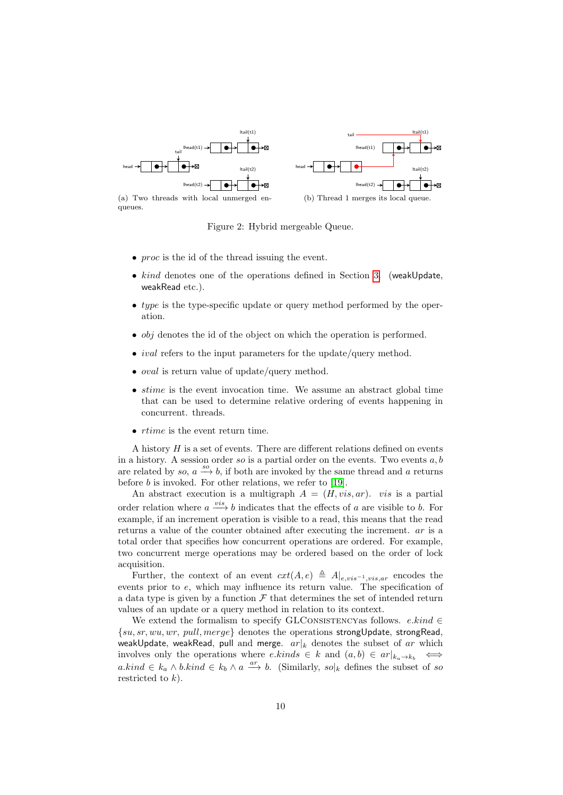<span id="page-9-0"></span>

queues.



- *proc* is the id of the thread issuing the event.
- kind denotes one of the operations defined in Section [3.](#page-4-0) (weakUpdate, weakRead etc.).
- type is the type-specific update or query method performed by the operation.
- $\bullet$  *obj* denotes the id of the object on which the operation is performed.
- *ival* refers to the input parameters for the update/query method.
- *oval* is return value of update/query method.
- $\bullet$  stime is the event invocation time. We assume an abstract global time that can be used to determine relative ordering of events happening in concurrent. threads.
- *rtime* is the event return time.

A history  $H$  is a set of events. There are different relations defined on events in a history. A session order so is a partial order on the events. Two events  $a, b$ are related by so,  $a \xrightarrow{s \circ} b$ , if both are invoked by the same thread and a returns before  $b$  is invoked. For other relations, we refer to [\[19\]](#page-15-8).

An abstract execution is a multigraph  $A = (H, vis, ar)$ . vis is a partial order relation where  $a \stackrel{vis}{\longrightarrow} b$  indicates that the effects of a are visible to b. For example, if an increment operation is visible to a read, this means that the read returns a value of the counter obtained after executing the increment. ar is a total order that specifies how concurrent operations are ordered. For example, two concurrent merge operations may be ordered based on the order of lock acquisition.

Further, the context of an event  $ext(A, e) \triangleq A|_{e, vis^{-1}, vis,ar}$  encodes the events prior to e, which may influence its return value. The specification of a data type is given by a function  $\mathcal F$  that determines the set of intended return values of an update or a query method in relation to its context.

We extend the formalism to specify GLCONSISTENCYas follows.  $e.kind \in$  $\{su, sr, wu, wr, pull, merge\}$  denotes the operations strongUpdate, strongRead, weakUpdate, weakRead, pull and merge.  $ar|_k$  denotes the subset of ar which involves only the operations where  $e.kinds \in k$  and  $(a, b) \in ar|_{k_a \to k_b} \iff$ a.kind ∈  $k_a \wedge b.kind \in k_b \wedge a \stackrel{ar}{\longrightarrow} b$ . (Similarly,  $so|_k$  defines the subset of so restricted to  $k$ ).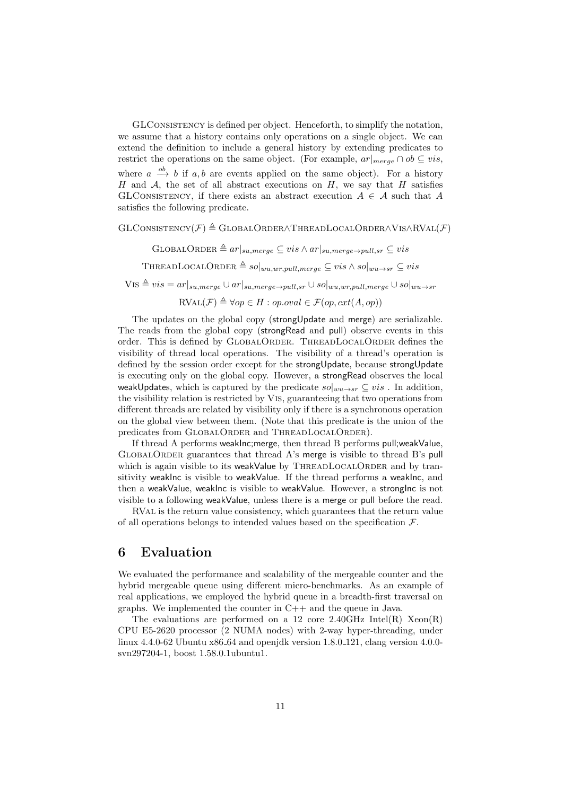GLConsistency is defined per object. Henceforth, to simplify the notation, we assume that a history contains only operations on a single object. We can extend the definition to include a general history by extending predicates to restrict the operations on the same object. (For example,  $ar|_{merge} \cap ob \subseteq vis$ , where  $a \stackrel{ob}{\longrightarrow} b$  if  $a, b$  are events applied on the same object). For a history H and A, the set of all abstract executions on H, we say that H satisfies GLCONSISTENCY, if there exists an abstract execution  $A \in \mathcal{A}$  such that A satisfies the following predicate.

#### $GLConsistency(\mathcal{F}) \triangleq GLOBALORDER\wedge THEADLOCALORDER\wedge VIS \wedge RVAL(\mathcal{F})$

 $\text{GLOBALORDER} \triangleq ar|_{su,merge} \subseteq vis \wedge ar|_{su,merge \rightarrow pull,sr} \subseteq vis$ 

THREADLOCALORDER  $\triangleq so|_{wu,wr,pull,merge} \subseteq vis \wedge so|_{wu\rightarrow sr} \subseteq vis$ 

 $VIS \triangleq vis = ar|_{su,merge} \cup ar|_{su,merge \rightarrow pull,sr} \cup so|_{wu,wr,pull,merge} \cup so|_{wu \rightarrow sr}$ 

 $\text{RVAL}(\mathcal{F}) \triangleq \forall op \in H : op. oval \in \mathcal{F}(op, ext(A, op))$ 

The updates on the global copy (strongUpdate and merge) are serializable. The reads from the global copy (strongRead and pull) observe events in this order. This is defined by GlobalOrder. ThreadLocalOrder defines the visibility of thread local operations. The visibility of a thread's operation is defined by the session order except for the strongUpdate, because strongUpdate is executing only on the global copy. However, a strongRead observes the local weakUpdates, which is captured by the predicate  $so|_{wu\to sr} \subseteq vis$ . In addition, the visibility relation is restricted by Vis, guaranteeing that two operations from different threads are related by visibility only if there is a synchronous operation on the global view between them. (Note that this predicate is the union of the predicates from GLOBALORDER and THREADLOCALORDER).

If thread A performs weakInc;merge, then thread B performs pull;weakValue,  $GLOBALORDER$  guarantees that thread A's merge is visible to thread B's pull which is again visible to its weakValue by  $\text{THREADLocalORDER}$  and by transitivity weakInc is visible to weakValue. If the thread performs a weakInc, and then a weakValue, weakInc is visible to weakValue. However, a strongInc is not visible to a following weakValue, unless there is a merge or pull before the read.

RVal is the return value consistency, which guarantees that the return value of all operations belongs to intended values based on the specification  $\mathcal{F}$ .

# <span id="page-10-0"></span>6 Evaluation

We evaluated the performance and scalability of the mergeable counter and the hybrid mergeable queue using different micro-benchmarks. As an example of real applications, we employed the hybrid queue in a breadth-first traversal on graphs. We implemented the counter in C++ and the queue in Java.

The evaluations are performed on a 12 core 2.40GHz Intel(R)  $Xeon(R)$ CPU E5-2620 processor (2 NUMA nodes) with 2-way hyper-threading, under linux 4.4.0-62 Ubuntu x86 64 and openjdk version 1.8.0 121, clang version 4.0.0 svn297204-1, boost 1.58.0.1ubuntu1.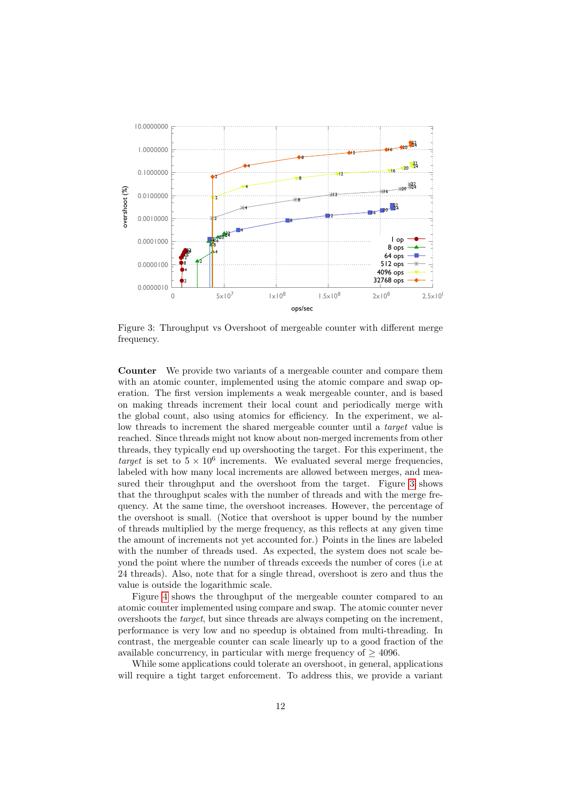<span id="page-11-0"></span>

Figure 3: Throughput vs Overshoot of mergeable counter with different merge frequency.

**Counter** We provide two variants of a mergeable counter and compare them with an atomic counter, implemented using the atomic compare and swap operation. The first version implements a weak mergeable counter, and is based on making threads increment their local count and periodically merge with the global count, also using atomics for efficiency. In the experiment, we allow threads to increment the shared mergeable counter until a *target* value is reached. Since threads might not know about non-merged increments from other threads, they typically end up overshooting the target. For this experiment, the target is set to  $5 \times 10^6$  increments. We evaluated several merge frequencies, labeled with how many local increments are allowed between merges, and measured their throughput and the overshoot from the target. Figure 3 shows that the throughput scales with the number of threads and with the merge frequency. At the same time, the overshoot increases. However, the percentage of the overshoot is small. (Notice that overshoot is upper bound by the number of threads multiplied by the merge frequency, as this reflects at any given time the amount of increments not yet accounted for.) Points in the lines are labeled with the number of threads used. As expected, the system does not scale beyond the point where the number of threads exceeds the number of cores (i.e at 24 threads). Also, note that for a single thread, overshoot is zero and thus the value is outside the logarithmic scale.

Figure 4 shows the throughput of the mergeable counter compared to an atomic counter implemented using compare and swap. The atomic counter never overshoots the *target*, but since threads are always competing on the increment, performance is very low and no speedup is obtained from multi-threading. In contrast, the mergeable counter can scale linearly up to a good fraction of the available concurrency, in particular with merge frequency of  $\geq$  4096.

While some applications could tolerate an overshoot, in general, applications will require a tight target enforcement. To address this, we provide a variant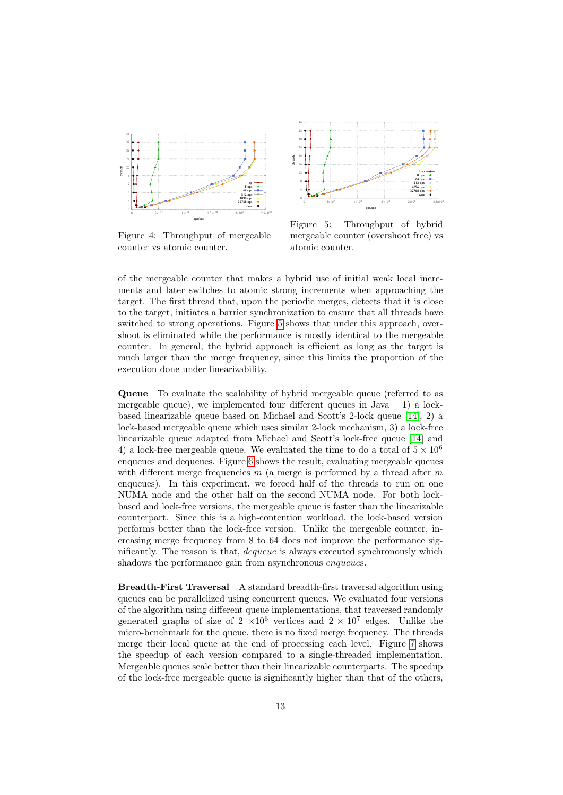<span id="page-12-0"></span>

Figure 4: Throughput of mergeable counter vs atomic counter.



Figure 5: Throughput of hybrid mergeable counter (overshoot free) vs atomic counter.

of the mergeable counter that makes a hybrid use of initial weak local increments and later switches to atomic strong increments when approaching the target. The first thread that, upon the periodic merges, detects that it is close to the target, initiates a barrier synchronization to ensure that all threads have switched to strong operations. Figure 5 shows that under this approach, overshoot is eliminated while the performance is mostly identical to the mergeable counter. In general, the hybrid approach is efficient as long as the target is much larger than the merge frequency, since this limits the proportion of the execution done under linearizability.

**Queue** To evaluate the scalability of hybrid mergeable queue (referred to as mergeable queue), we implemented four different queues in  $Java - 1)$  a lockbased linearizable queue based on Michael and Scott's 2-lock queue  $[14]$ , 2) a lock-based mergeable queue which uses similar 2-lock mechanism, 3) a lock-free linearizable queue adapted from Michael and Scott's lock-free queue [14] and 4) a lock-free mergeable queue. We evaluated the time to do a total of  $5 \times 10^6$ enqueles and dequeues. Figure 6 shows the result, evaluating mergeable queues with different merge frequencies m (a merge is performed by a thread after m enqueues). In this experiment, we forced half of the threads to run on one NUMA node and the other half on the second NUMA node. For both lockbased and lock-free versions, the mergeable queue is faster than the linearizable counterpart. Since this is a high-contention workload, the lock-based version performs better than the lock-free version. Unlike the mergeable counter, increasing merge frequency from 8 to 64 does not improve the performance significantly. The reason is that, *dequeue* is always executed synchronously which shadows the performance gain from asynchronous enqueues.

Breadth-First Traversal A standard breadth-first traversal algorithm using queues can be parallelized using concurrent queues. We evaluated four versions of the algorithm using different queue implementations, that traversed randomly generated graphs of size of  $2 \times 10^6$  vertices and  $2 \times 10^7$  edges. Unlike the micro-benchmark for the queue, there is no fixed merge frequency. The threads merge their local queue at the end of processing each level. Figure 7 shows the speedup of each version compared to a single-threaded implementation. Mergeable queues scale better than their linearizable counterparts. The speedup of the lock-free mergeable queue is significantly higher than that of the others,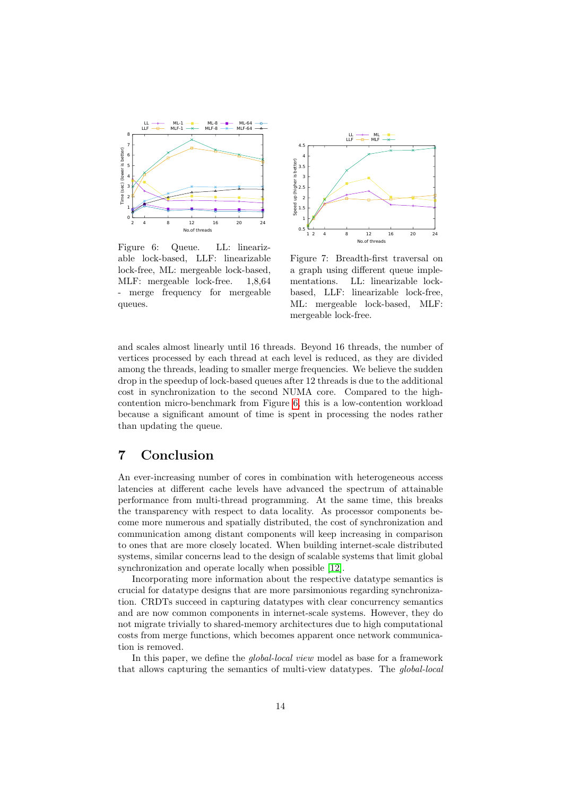<span id="page-13-0"></span>

Figure 6: Queue. LL: linearizable lock-based, LLF: linearizable lock-free, ML: mergeable lock-based, MLF: mergeable lock-free. 1,8,64 - merge frequency for mergeable queues.



Figure 7: Breadth-first traversal on a graph using different queue implementations. LL: linearizable lockbased, LLF: linearizable lock-free, ML: mergeable lock-based, MLF: mergeable lock-free.

and scales almost linearly until 16 threads. Beyond 16 threads, the number of vertices processed by each thread at each level is reduced, as they are divided among the threads, leading to smaller merge frequencies. We believe the sudden drop in the speedup of lock-based queues after 12 threads is due to the additional cost in synchronization to the second NUMA core. Compared to the highcontention micro-benchmark from Figure [6,](#page-13-0) this is a low-contention workload because a significant amount of time is spent in processing the nodes rather than updating the queue.

# 7 Conclusion

An ever-increasing number of cores in combination with heterogeneous access latencies at different cache levels have advanced the spectrum of attainable performance from multi-thread programming. At the same time, this breaks the transparency with respect to data locality. As processor components become more numerous and spatially distributed, the cost of synchronization and communication among distant components will keep increasing in comparison to ones that are more closely located. When building internet-scale distributed systems, similar concerns lead to the design of scalable systems that limit global synchronization and operate locally when possible [\[12\]](#page-15-10).

Incorporating more information about the respective datatype semantics is crucial for datatype designs that are more parsimonious regarding synchronization. CRDTs succeed in capturing datatypes with clear concurrency semantics and are now common components in internet-scale systems. However, they do not migrate trivially to shared-memory architectures due to high computational costs from merge functions, which becomes apparent once network communication is removed.

In this paper, we define the *global-local view* model as base for a framework that allows capturing the semantics of multi-view datatypes. The global-local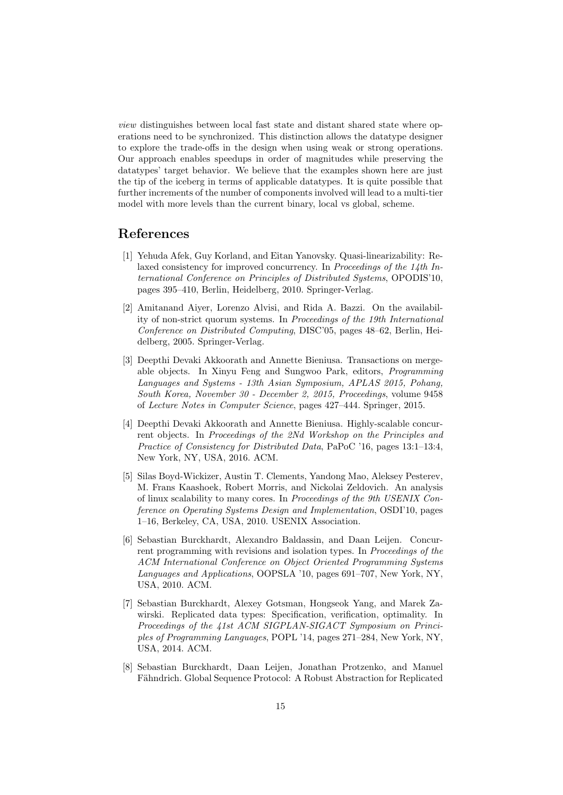view distinguishes between local fast state and distant shared state where operations need to be synchronized. This distinction allows the datatype designer to explore the trade-offs in the design when using weak or strong operations. Our approach enables speedups in order of magnitudes while preserving the datatypes' target behavior. We believe that the examples shown here are just the tip of the iceberg in terms of applicable datatypes. It is quite possible that further increments of the number of components involved will lead to a multi-tier model with more levels than the current binary, local vs global, scheme.

## References

- <span id="page-14-6"></span>[1] Yehuda Afek, Guy Korland, and Eitan Yanovsky. Quasi-linearizability: Relaxed consistency for improved concurrency. In Proceedings of the 14th International Conference on Principles of Distributed Systems, OPODIS'10, pages 395–410, Berlin, Heidelberg, 2010. Springer-Verlag.
- <span id="page-14-7"></span>[2] Amitanand Aiyer, Lorenzo Alvisi, and Rida A. Bazzi. On the availability of non-strict quorum systems. In Proceedings of the 19th International Conference on Distributed Computing, DISC'05, pages 48–62, Berlin, Heidelberg, 2005. Springer-Verlag.
- <span id="page-14-2"></span>[3] Deepthi Devaki Akkoorath and Annette Bieniusa. Transactions on mergeable objects. In Xinyu Feng and Sungwoo Park, editors, Programming Languages and Systems - 13th Asian Symposium, APLAS 2015, Pohang, South Korea, November 30 - December 2, 2015, Proceedings, volume 9458 of Lecture Notes in Computer Science, pages 427–444. Springer, 2015.
- <span id="page-14-3"></span>[4] Deepthi Devaki Akkoorath and Annette Bieniusa. Highly-scalable concurrent objects. In Proceedings of the 2Nd Workshop on the Principles and Practice of Consistency for Distributed Data, PaPoC '16, pages 13:1–13:4, New York, NY, USA, 2016. ACM.
- <span id="page-14-0"></span>[5] Silas Boyd-Wickizer, Austin T. Clements, Yandong Mao, Aleksey Pesterev, M. Frans Kaashoek, Robert Morris, and Nickolai Zeldovich. An analysis of linux scalability to many cores. In Proceedings of the 9th USENIX Conference on Operating Systems Design and Implementation, OSDI'10, pages 1–16, Berkeley, CA, USA, 2010. USENIX Association.
- <span id="page-14-4"></span>[6] Sebastian Burckhardt, Alexandro Baldassin, and Daan Leijen. Concurrent programming with revisions and isolation types. In *Proceedings of the* ACM International Conference on Object Oriented Programming Systems Languages and Applications, OOPSLA '10, pages 691–707, New York, NY, USA, 2010. ACM.
- <span id="page-14-1"></span>[7] Sebastian Burckhardt, Alexey Gotsman, Hongseok Yang, and Marek Zawirski. Replicated data types: Specification, verification, optimality. In Proceedings of the 41st ACM SIGPLAN-SIGACT Symposium on Principles of Programming Languages, POPL '14, pages 271–284, New York, NY, USA, 2014. ACM.
- <span id="page-14-5"></span>[8] Sebastian Burckhardt, Daan Leijen, Jonathan Protzenko, and Manuel Fähndrich. Global Sequence Protocol: A Robust Abstraction for Replicated